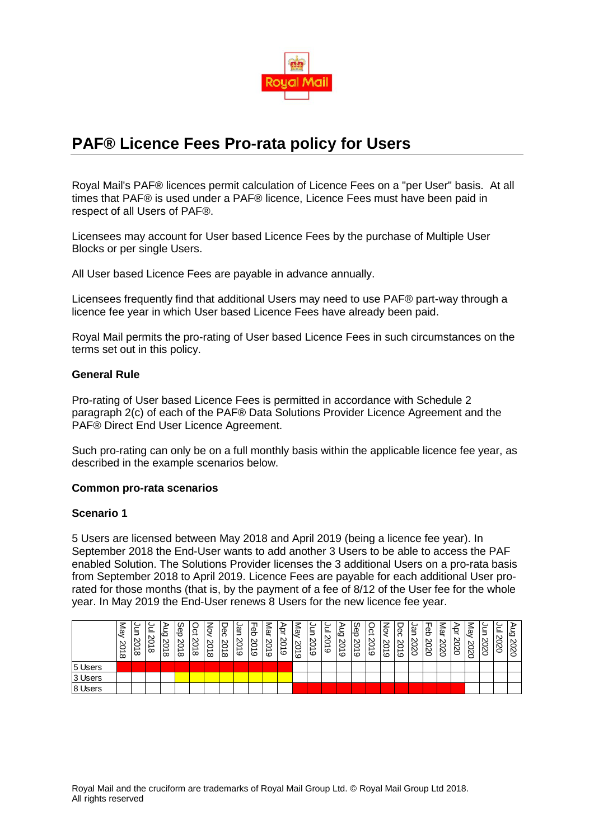

# **PAF® Licence Fees Pro-rata policy for Users**

Royal Mail's PAF® licences permit calculation of Licence Fees on a "per User" basis. At all times that PAF® is used under a PAF® licence, Licence Fees must have been paid in respect of all Users of PAF®.

Licensees may account for User based Licence Fees by the purchase of Multiple User Blocks or per single Users.

All User based Licence Fees are payable in advance annually.

Licensees frequently find that additional Users may need to use PAF® part-way through a licence fee year in which User based Licence Fees have already been paid.

Royal Mail permits the pro-rating of User based Licence Fees in such circumstances on the terms set out in this policy.

## **General Rule**

Pro-rating of User based Licence Fees is permitted in accordance with Schedule 2 paragraph 2(c) of each of the PAF® Data Solutions Provider Licence Agreement and the PAF® Direct End User Licence Agreement.

Such pro-rating can only be on a full monthly basis within the applicable licence fee year, as described in the example scenarios below.

#### **Common pro-rata scenarios**

#### **Scenario 1**

5 Users are licensed between May 2018 and April 2019 (being a licence fee year). In September 2018 the End-User wants to add another 3 Users to be able to access the PAF enabled Solution. The Solutions Provider licenses the 3 additional Users on a pro-rata basis from September 2018 to April 2019. Licence Fees are payable for each additional User prorated for those months (that is, by the payment of a fee of 8/12 of the User fee for the whole year. In May 2019 the End-User renews 8 Users for the new licence fee year.

|         | -<br>ভূ<br><b>SC</b><br>ℶ<br>$\infty$ | 8<br>$\infty$ | 느<br>⊂<br>$\infty$ | ò<br>N<br>$\infty$ | cn<br>ළි<br>8<br>$\infty$ | $\Omega$<br>S<br>$\infty$ | ںِ<br>$\infty$<br>$\infty$ | δă<br>SC<br>$\infty$ | gη<br>8<br>$\circ$ | 공<br>S<br>$\circ$ | 警<br>$\mathbf \omega$<br>Č<br>$\circ$ | ੰਤ<br>8<br>c | يو.<br>S,<br>c | ≒<br>S<br>$\circ$ | 느<br>S.<br>$\circ$ | ∍<br>۱ċ<br>8<br>$\circ$ | မှင်<br>၁<br>ΙŠ<br>$\circ$ | $\Omega$<br>e<br>. ಜ<br>$\circ$ | ्रे<br>S)<br>$\circ$ | Dec<br>δ<br>c | gη<br>∾<br>N | ී පි<br>ΙŠ<br>S) | πğ<br>N.<br>Ö<br>Ñ | ᢦ<br>○<br>8 | يو.<br>2020 | ₿<br>2020 | Ö<br>S | $\circ$<br>8<br>N<br>⊂ |
|---------|---------------------------------------|---------------|--------------------|--------------------|---------------------------|---------------------------|----------------------------|----------------------|--------------------|-------------------|---------------------------------------|--------------|----------------|-------------------|--------------------|-------------------------|----------------------------|---------------------------------|----------------------|---------------|--------------|------------------|--------------------|-------------|-------------|-----------|--------|------------------------|
| 5 Users |                                       |               |                    |                    |                           |                           |                            |                      |                    |                   |                                       |              |                |                   |                    |                         |                            |                                 |                      |               |              |                  |                    |             |             |           |        |                        |
| 3 Users |                                       |               |                    |                    |                           |                           |                            |                      |                    |                   |                                       |              |                |                   |                    |                         |                            |                                 |                      |               |              |                  |                    |             |             |           |        |                        |
| 8 Users |                                       |               |                    |                    |                           |                           |                            |                      |                    |                   |                                       |              |                |                   |                    |                         |                            |                                 |                      |               |              |                  |                    |             |             |           |        |                        |